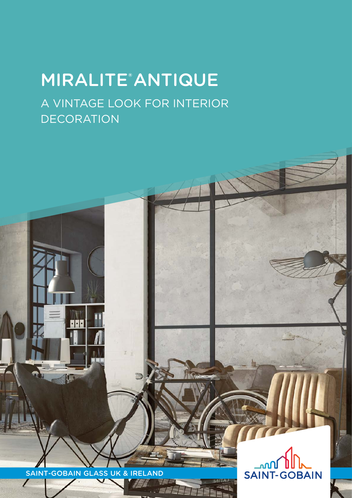## MIRALITE® ANTIQUE A VINTAGE LOOK FOR INTERIOR

DECORATION